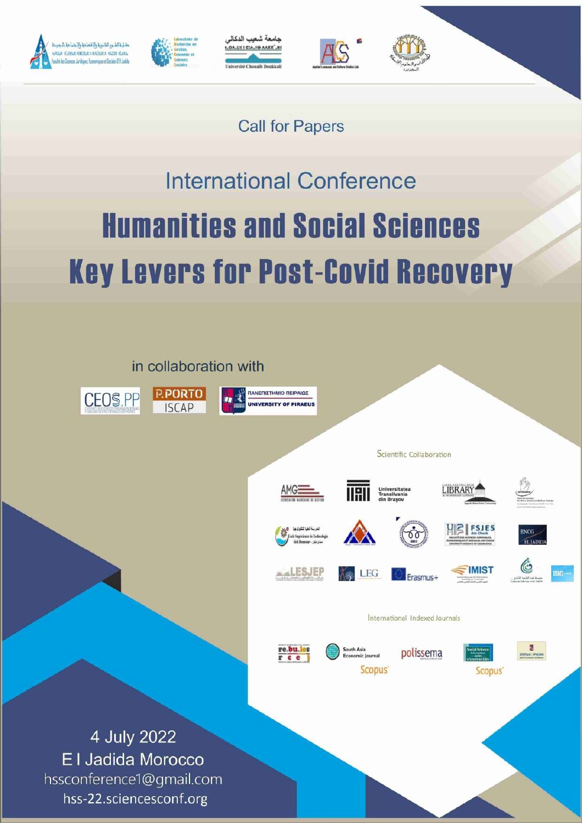









# **Call for Papers**

# **International Conference Humanities and Social Sciences Key Levers for Post-Covid Recovery**

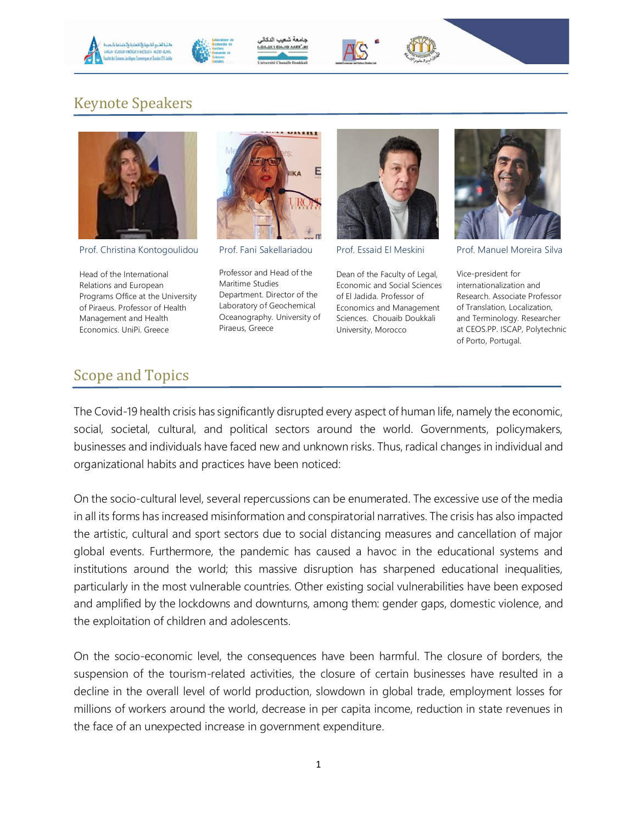



دامعة شعر LUE I CIA.JO AARR".HE





### Keynote Speakers



Prof. Christina Kontogoulidou

Head of the International Relations and European Programs Office at the University of Piraeus. Professor of Health Management and Health Economics. UniPi. Greece



Prof. Fani Sakellariadou

Professor and Head of the Maritime Studies Department. Director of the Laboratory of Geochemical Oceanography. University of Piraeus, Greece



Prof. Essaid El Meskini

Dean of the Faculty of Legal, Economic and Social Sciences of El Jadida. Professor of Economics and Management Sciences. Chouaib Doukkali University, Morocco



Prof. Manuel Moreira Silva

Vice-president for internationalization and Research. Associate Professor of Translation, Localization, and Terminology. Researcher at CEOS.PP. ISCAP, Polytechnic of Porto, Portugal.

#### Scope and Topics

The Covid-19 health crisis has significantly disrupted every aspect of human life, namely the economic, social, societal, cultural, and political sectors around the world. Governments, policymakers, businesses and individuals have faced new and unknown risks. Thus, radical changes in individual and organizational habits and practices have been noticed:

On the socio-cultural level, several repercussions can be enumerated. The excessive use of the media in all its forms has increased misinformation and conspiratorial narratives. The crisis has also impacted the artistic, cultural and sport sectors due to social distancing measures and cancellation of major global events. Furthermore, the pandemic has caused a havoc in the educational systems and institutions around the world; this massive disruption has sharpened educational inequalities, particularly in the most vulnerable countries. Other existing social vulnerabilities have been exposed and amplified by the lockdowns and downturns, among them: gender gaps, domestic violence, and the exploitation of children and adolescents.

On the socio-economic level, the consequences have been harmful. The closure of borders, the suspension of the tourism-related activities, the closure of certain businesses have resulted in a decline in the overall level of world production, slowdown in global trade, employment losses for millions of workers around the world, decrease in per capita income, reduction in state revenues in the face of an unexpected increase in government expenditure.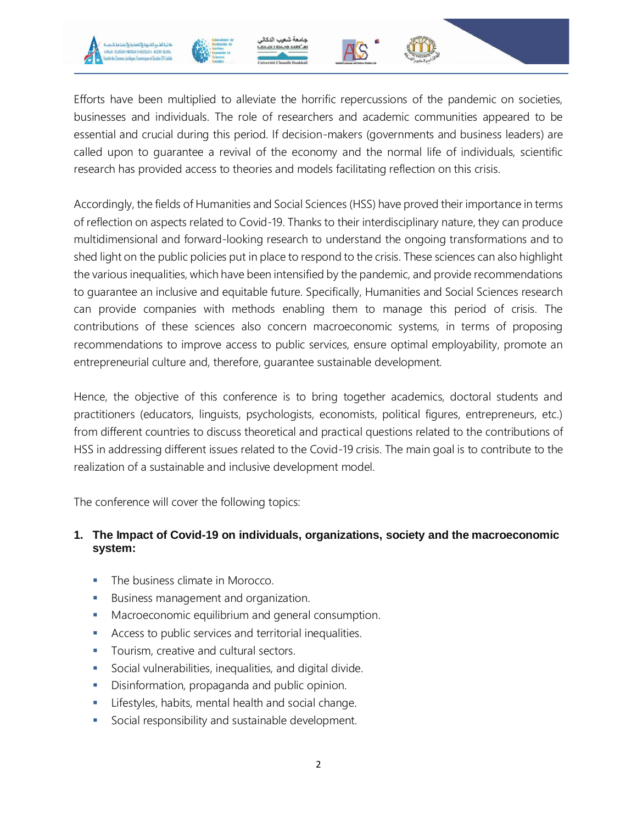





Efforts have been multiplied to alleviate the horrific repercussions of the pandemic on societies, businesses and individuals. The role of researchers and academic communities appeared to be essential and crucial during this period. If decision-makers (governments and business leaders) are called upon to guarantee a revival of the economy and the normal life of individuals, scientific research has provided access to theories and models facilitating reflection on this crisis.

Accordingly, the fields of Humanities and Social Sciences (HSS) have proved their importance in terms of reflection on aspects related to Covid-19. Thanks to their interdisciplinary nature, they can produce multidimensional and forward-looking research to understand the ongoing transformations and to shed light on the public policies put in place to respond to the crisis. These sciences can also highlight the various inequalities, which have been intensified by the pandemic, and provide recommendations to guarantee an inclusive and equitable future. Specifically, Humanities and Social Sciences research can provide companies with methods enabling them to manage this period of crisis. The contributions of these sciences also concern macroeconomic systems, in terms of proposing recommendations to improve access to public services, ensure optimal employability, promote an entrepreneurial culture and, therefore, guarantee sustainable development.

Hence, the objective of this conference is to bring together academics, doctoral students and practitioners (educators, linguists, psychologists, economists, political figures, entrepreneurs, etc.) from different countries to discuss theoretical and practical questions related to the contributions of HSS in addressing different issues related to the Covid-19 crisis. The main goal is to contribute to the realization of a sustainable and inclusive development model.

The conference will cover the following topics:

#### **1. The Impact of Covid-19 on individuals, organizations, society and the macroeconomic system:**

- The business climate in Morocco.
- Business management and organization.
- **Macroeconomic equilibrium and general consumption.**
- Access to public services and territorial inequalities.
- **Tourism, creative and cultural sectors.**
- Social vulnerabilities, inequalities, and digital divide.
- Disinformation, propaganda and public opinion.
- **EXECT:** Lifestyles, habits, mental health and social change.
- Social responsibility and sustainable development.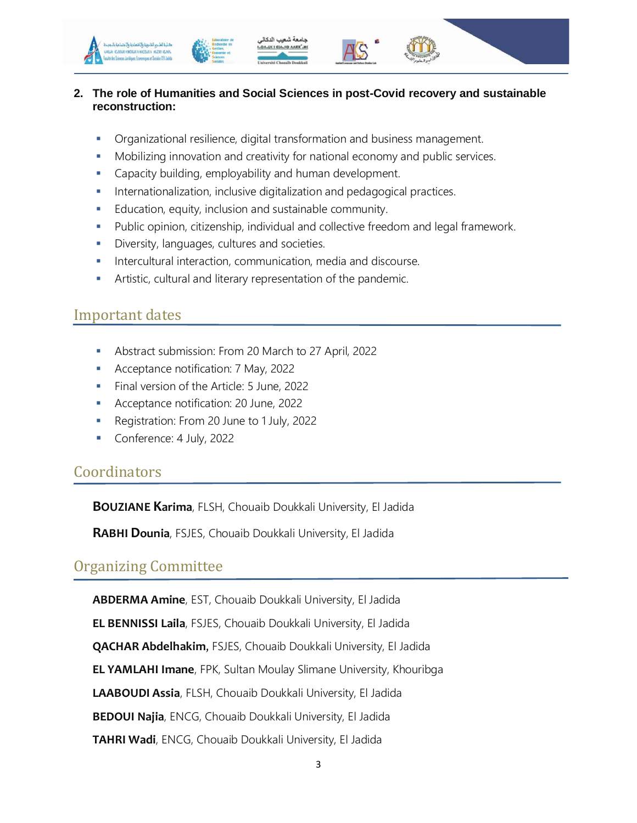

#### **2. The role of Humanities and Social Sciences in post-Covid recovery and sustainable reconstruction:**

- Organizational resilience, digital transformation and business management.
- Mobilizing innovation and creativity for national economy and public services.
- **Capacity building, employability and human development.**
- **Internationalization, inclusive digitalization and pedagogical practices.**
- Education, equity, inclusion and sustainable community.
- **Public opinion, citizenship, individual and collective freedom and legal framework.**
- **Diversity, languages, cultures and societies.**
- **Intercultural interaction, communication, media and discourse.**
- Artistic, cultural and literary representation of the pandemic.

#### Important dates

- Abstract submission: From 20 March to 27 April, 2022
- **Acceptance notification: 7 May, 2022**
- Final version of the Article: 5 June, 2022
- Acceptance notification: 20 June, 2022
- Registration: From 20 June to 1 July, 2022
- **Conference: 4 July, 2022**

#### **Coordinators**

**BOUZIANE Karima**, FLSH, Chouaib Doukkali University, El Jadida

**RABHI Dounia**, FSJES, Chouaib Doukkali University, El Jadida

#### Organizing Committee

**ABDERMA Amine**, EST, Chouaib Doukkali University, El Jadida

**EL BENNISSI Laila**, FSJES, Chouaib Doukkali University, El Jadida

**QACHAR Abdelhakim**, FSJES, Chouaib Doukkali University, El Jadida

**EL YAMLAHI Imane**, FPK, Sultan Moulay Slimane University, Khouribga

**LAABOUDI Assia**, FLSH, Chouaib Doukkali University, El Jadida

**BEDOUI Najia**, ENCG, Chouaib Doukkali University, El Jadida

**TAHRI Wadi**, ENCG, Chouaib Doukkali University, El Jadida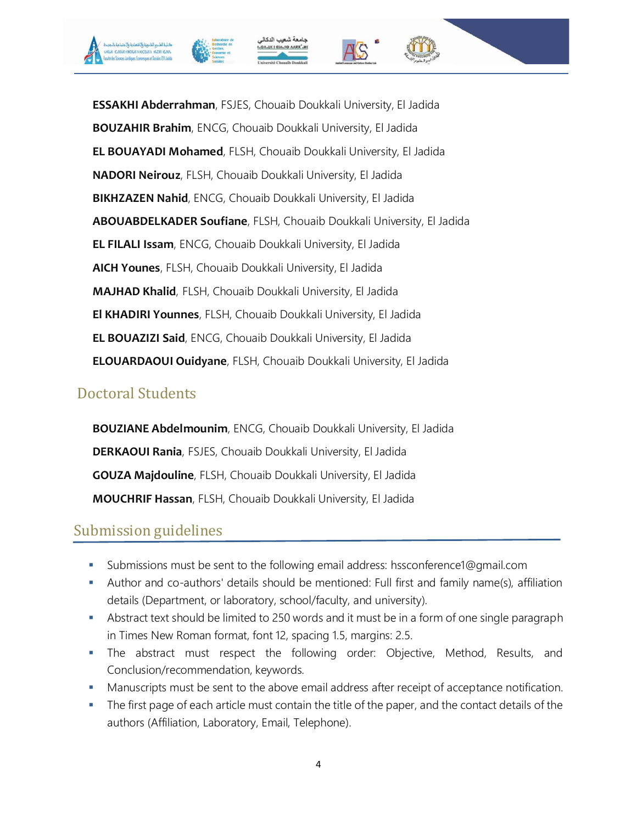

**ESSAKHI Abderrahman**, FSJES, Chouaib Doukkali University, El Jadida **BOUZAHIR Brahim**, ENCG, Chouaib Doukkali University, El Jadida **EL BOUAYADI Mohamed**, FLSH, Chouaib Doukkali University, El Jadida **NADORI Neirouz**, FLSH, Chouaib Doukkali University, El Jadida **BIKHZAZEN Nahid**, ENCG, Chouaib Doukkali University, El Jadida **ABOUABDELKADER Soufiane**, FLSH, Chouaib Doukkali University, El Jadida **EL FILALI Issam**, ENCG, Chouaib Doukkali University, El Jadida **AICH Younes**, FLSH, Chouaib Doukkali University, El Jadida **MAJHAD Khalid**, FLSH, Chouaib Doukkali University, El Jadida **El KHADIRI Younnes**, FLSH, Chouaib Doukkali University, El Jadida **EL BOUAZIZI Said**, ENCG, Chouaib Doukkali University, El Jadida **ELOUARDAOUI Ouidyane**, FLSH, Chouaib Doukkali University, El Jadida

### Doctoral Students

**BOUZIANE Abdelmounim**, ENCG, Chouaib Doukkali University, El Jadida **DERKAOUI Rania**, FSJES, Chouaib Doukkali University, El Jadida **GOUZA Majdouline**, FLSH, Chouaib Doukkali University, El Jadida **MOUCHRIF Hassan**, FLSH, Chouaib Doukkali University, El Jadida

## Submission guidelines

- Submissions must be sent to the following email address: hssconference1@gmail.com
- Author and co-authors' details should be mentioned: Full first and family name(s), affiliation details (Department, or laboratory, school/faculty, and university).
- Abstract text should be limited to 250 words and it must be in a form of one single paragraph in Times New Roman format, font 12, spacing 1.5, margins: 2.5.
- The abstract must respect the following order: Objective, Method, Results, and Conclusion/recommendation, keywords.
- **Manuscripts must be sent to the above email address after receipt of acceptance notification.**
- The first page of each article must contain the title of the paper, and the contact details of the authors (Affiliation, Laboratory, Email, Telephone).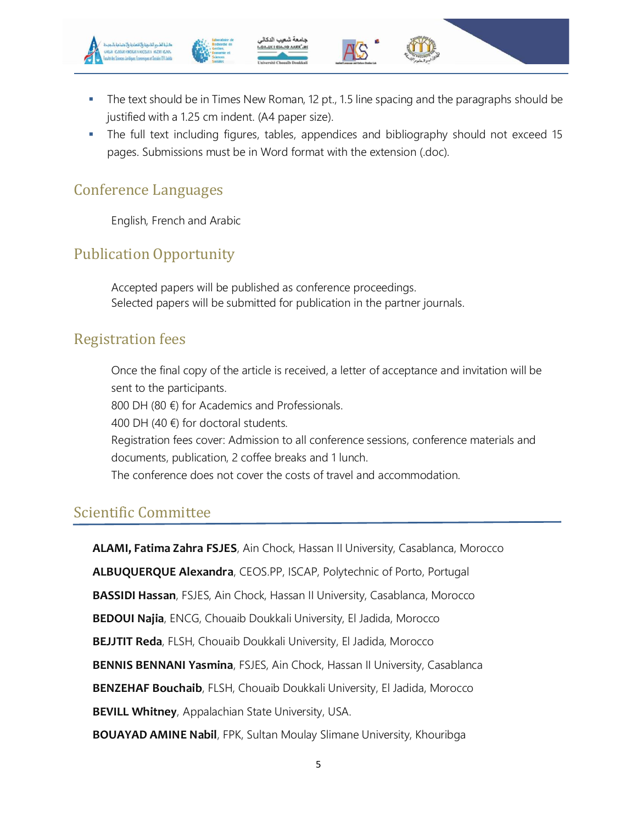

- The text should be in Times New Roman, 12 pt., 1.5 line spacing and the paragraphs should be justified with a 1.25 cm indent. (A4 paper size).
- The full text including figures, tables, appendices and bibliography should not exceed 15 pages. Submissions must be in Word format with the extension (.doc).

#### Conference Languages

English, French and Arabic

#### Publication Opportunity

 Accepted papers will be published as conference proceedings. Selected papers will be submitted for publication in the partner journals.

#### Registration fees

 Once the final copy of the article is received, a letter of acceptance and invitation will be sent to the participants.

800 DH (80 €) for Academics and Professionals.

400 DH (40  $\notin$ ) for doctoral students.

 Registration fees cover: Admission to all conference sessions, conference materials and documents, publication, 2 coffee breaks and 1 lunch.

The conference does not cover the costs of travel and accommodation.

#### Scientific Committee

**ALAMI, Fatima Zahra FSJES**, Ain Chock, Hassan II University, Casablanca, Morocco **ALBUQUERQUE Alexandra**, CEOS.PP, ISCAP, Polytechnic of Porto, Portugal **BASSIDI Hassan**, FSJES, Ain Chock, Hassan II University, Casablanca, Morocco **BEDOUI Najia**, ENCG, Chouaib Doukkali University, El Jadida, Morocco **BEJJTIT Reda**, FLSH, Chouaib Doukkali University, El Jadida, Morocco **BENNIS BENNANI Yasmina**, FSJES, Ain Chock, Hassan II University, Casablanca **BENZEHAF Bouchaib**, FLSH, Chouaib Doukkali University, El Jadida, Morocco **BEVILL Whitney**, Appalachian State University, USA. **BOUAYAD AMINE Nabil**, FPK, Sultan Moulay Slimane University, Khouribga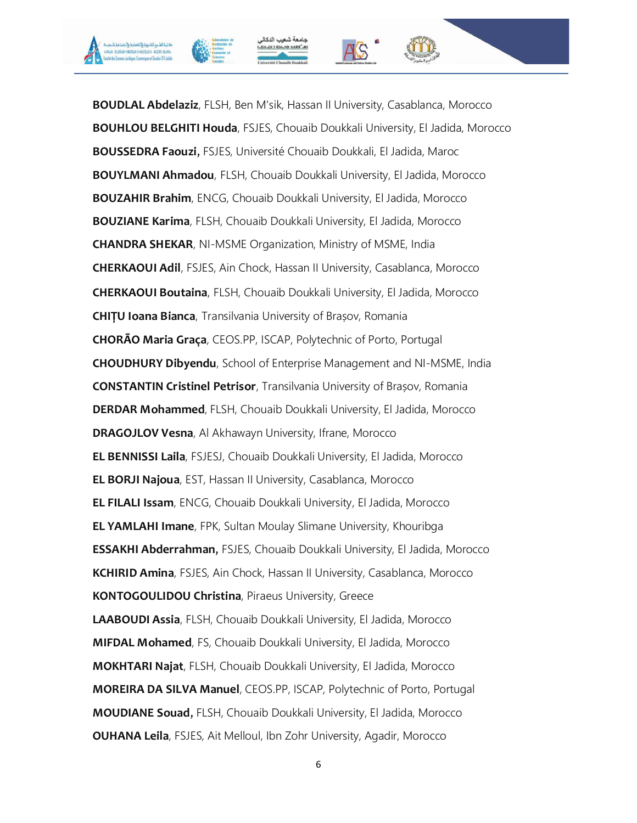







**BOUDLAL Abdelaziz**, FLSH, Ben M'sik, Hassan II University, Casablanca, Morocco **BOUHLOU BELGHITI Houda**, FSJES, Chouaib Doukkali University, El Jadida, Morocco **BOUSSEDRA Faouzi**, FSJES, Université Chouaib Doukkali, El Jadida, Maroc **BOUYLMANI Ahmadou**, FLSH, Chouaib Doukkali University, El Jadida, Morocco **BOUZAHIR Brahim**, ENCG, Chouaib Doukkali University, El Jadida, Morocco **BOUZIANE Karima**, FLSH, Chouaib Doukkali University, El Jadida, Morocco **CHANDRA SHEKAR**, NI-MSME Organization, Ministry of MSME, India **CHERKAOUI Adil**, FSJES, Ain Chock, Hassan II University, Casablanca, Morocco **CHERKAOUI Boutaina**, FLSH, Chouaib Doukkali University, El Jadida, Morocco **CHIȚU Ioana Bianca**, Transilvania University of Brașov, Romania **CHORÃO Maria Graça**, CEOS.PP, ISCAP, Polytechnic of Porto, Portugal **CHOUDHURY Dibyendu**, School of Enterprise Management and NI-MSME, India **CONSTANTIN Cristinel Petrisor**, Transilvania University of Brașov, Romania **DERDAR Mohammed**, FLSH, Chouaib Doukkali University, El Jadida, Morocco **DRAGOJLOV Vesna**, Al Akhawayn University, Ifrane, Morocco **EL BENNISSI Laila**, FSJESJ, Chouaib Doukkali University, El Jadida, Morocco **EL BORJI Najoua**, EST, Hassan II University, Casablanca, Morocco **EL FILALI Issam**, ENCG, Chouaib Doukkali University, El Jadida, Morocco **EL YAMLAHI Imane**, FPK, Sultan Moulay Slimane University, Khouribga **ESSAKHI Abderrahman**, FSJES, Chouaib Doukkali University, El Jadida, Morocco **KCHIRID Amina**, FSJES, Ain Chock, Hassan II University, Casablanca, Morocco **KONTOGOULIDOU Christina**, Piraeus University, Greece **LAABOUDI Assia**, FLSH, Chouaib Doukkali University, El Jadida, Morocco **MIFDAL Mohamed**, FS, Chouaib Doukkali University, El Jadida, Morocco **MOKHTARI Najat**, FLSH, Chouaib Doukkali University, El Jadida, Morocco **MOREIRA DA SILVA Manuel**, CEOS.PP, ISCAP, Polytechnic of Porto, Portugal **MOUDIANE Souad**, FLSH, Chouaib Doukkali University, El Jadida, Morocco **OUHANA Leila**, FSJES, Ait Melloul, Ibn Zohr University, Agadir, Morocco